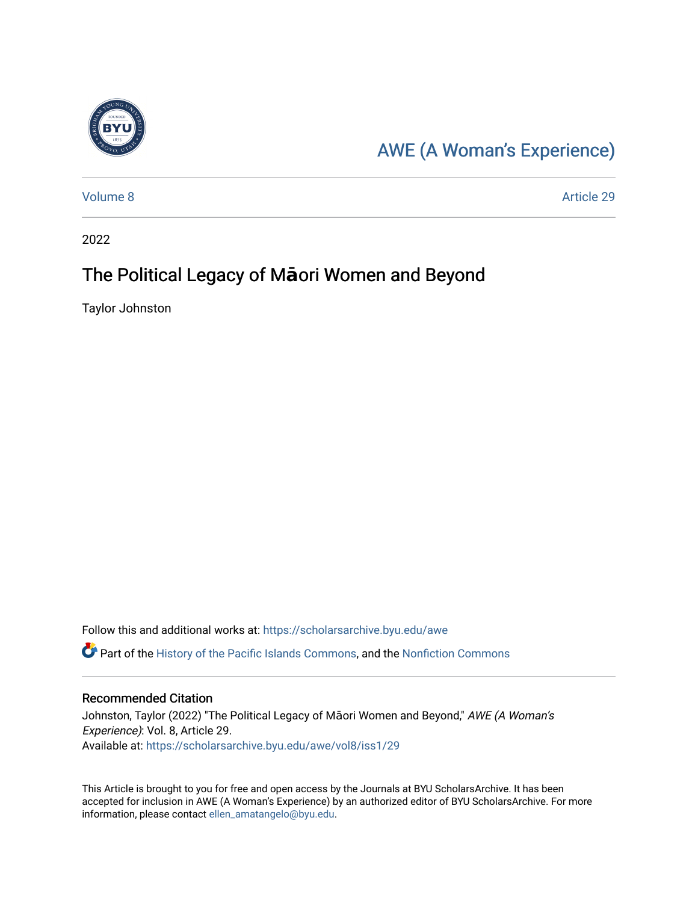

## [AWE \(A Woman's Experience\)](https://scholarsarchive.byu.edu/awe)

[Volume 8](https://scholarsarchive.byu.edu/awe/vol8) Article 29

2022

#### The Political Legacy of Maori Women and Beyond

Taylor Johnston

Follow this and additional works at: [https://scholarsarchive.byu.edu/awe](https://scholarsarchive.byu.edu/awe?utm_source=scholarsarchive.byu.edu%2Fawe%2Fvol8%2Fiss1%2F29&utm_medium=PDF&utm_campaign=PDFCoverPages)

Part of the [History of the Pacific Islands Commons,](https://network.bepress.com/hgg/discipline/1313?utm_source=scholarsarchive.byu.edu%2Fawe%2Fvol8%2Fiss1%2F29&utm_medium=PDF&utm_campaign=PDFCoverPages) and the [Nonfiction Commons](https://network.bepress.com/hgg/discipline/1152?utm_source=scholarsarchive.byu.edu%2Fawe%2Fvol8%2Fiss1%2F29&utm_medium=PDF&utm_campaign=PDFCoverPages) 

#### Recommended Citation

Johnston, Taylor (2022) "The Political Legacy of Māori Women and Beyond," AWE (A Woman's Experience): Vol. 8, Article 29. Available at: [https://scholarsarchive.byu.edu/awe/vol8/iss1/29](https://scholarsarchive.byu.edu/awe/vol8/iss1/29?utm_source=scholarsarchive.byu.edu%2Fawe%2Fvol8%2Fiss1%2F29&utm_medium=PDF&utm_campaign=PDFCoverPages) 

This Article is brought to you for free and open access by the Journals at BYU ScholarsArchive. It has been accepted for inclusion in AWE (A Woman's Experience) by an authorized editor of BYU ScholarsArchive. For more information, please contact [ellen\\_amatangelo@byu.edu.](mailto:ellen_amatangelo@byu.edu)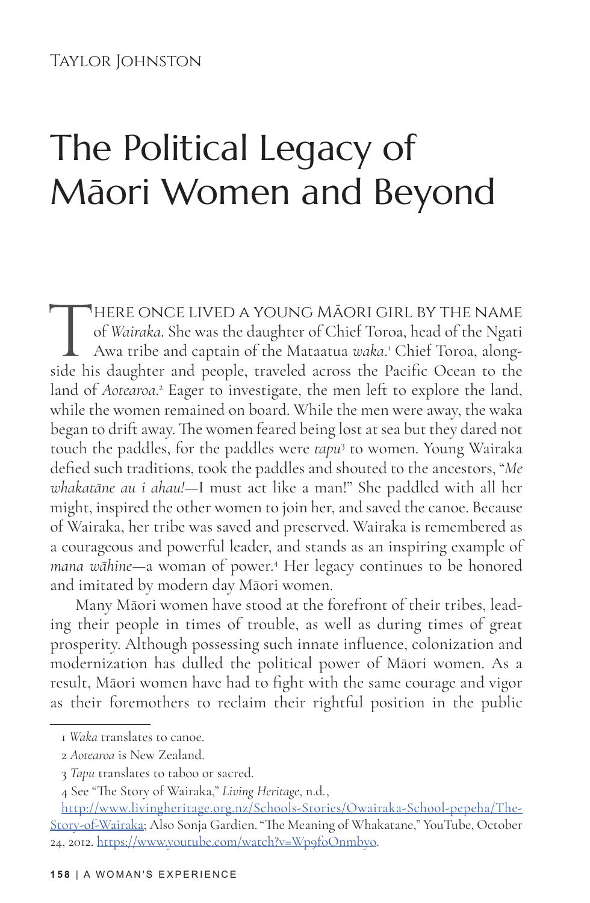#### Taylor Johnston

# The Political Legacy of Māori Women and Beyond

THERE ONCE LIVED A YOUNG MĀORI GIRL BY THE NAME<br>of *Wairaka*. She was the daughter of Chief Toroa, head of the Ngati<br>Awa tribe and captain of the Mataatua *waka*.' Chief Toroa, along-<br>side his daughter and people, traveled of *Wairaka*. She was the daughter of Chief Toroa, head of the Ngati Awa tribe and captain of the Mataatua *waka*. 1 Chief Toroa, alongside his daughter and people, traveled across the Pacific Ocean to the land of *Aotearoa*.<sup>2</sup> Eager to investigate, the men left to explore the land, while the women remained on board. While the men were away, the waka began to drift away. The women feared being lost at sea but they dared not touch the paddles, for the paddles were *tapu*<sup>3</sup> to women. Young Wairaka defied such traditions, took the paddles and shouted to the ancestors, "*Me whakatāne au i ahau!*—I must act like a man!" She paddled with all her might, inspired the other women to join her, and saved the canoe. Because of Wairaka, her tribe was saved and preserved. Wairaka is remembered as a courageous and powerful leader, and stands as an inspiring example of *mana wāhine*—a woman of power.<sup>4</sup> Her legacy continues to be honored and imitated by modern day Māori women.

Many Māori women have stood at the forefront of their tribes, leading their people in times of trouble, as well as during times of great prosperity. Although possessing such innate influence, colonization and modernization has dulled the political power of Māori women. As a result, Māori women have had to fight with the same courage and vigor as their foremothers to reclaim their rightful position in the public

<sup>1</sup> *Waka* translates to canoe.

<sup>2</sup> *Aotearoa* is New Zealand.

<sup>3</sup> *Tapu* translates to taboo or sacred.

<sup>4</sup> See "The Story of Wairaka," *Living Heritage*, n.d.,

http://www.livingheritage.org.nz/Schools-Stories/Owairaka-School-pepeha/The-Story-of-Wairaka; Also Sonja Gardien. "The Meaning of Whakatane," YouTube, October 24, 2012. https://www.youtube.com/watch?v=Wp9foOnmbyo.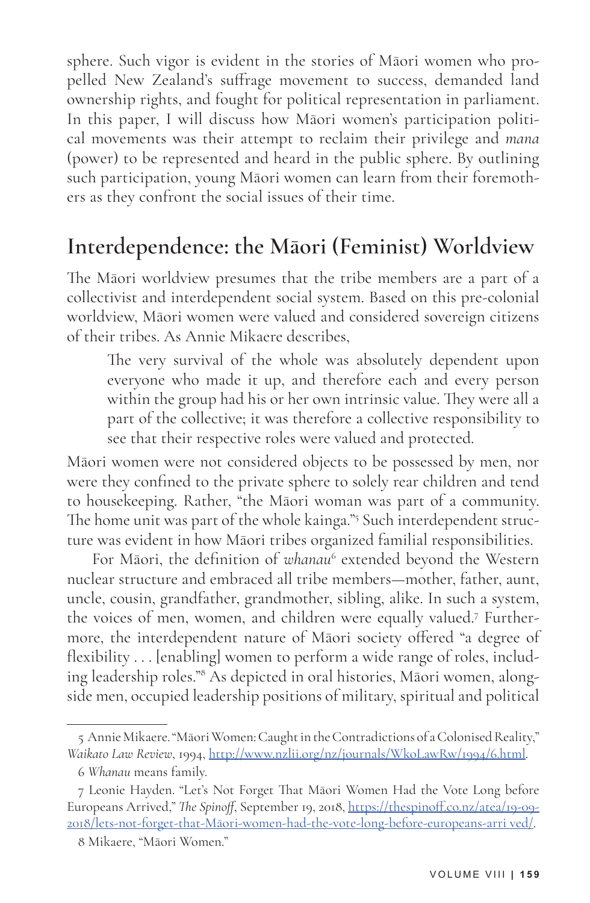sphere. Such vigor is evident in the stories of Māori women who propelled New Zealand's suffrage movement to success, demanded land ownership rights, and fought for political representation in parliament. In this paper, I will discuss how Māori women's participation political movements was their attempt to reclaim their privilege and *mana* (power) to be represented and heard in the public sphere. By outlining such participation, young Māori women can learn from their foremothers as they confront the social issues of their time.

#### **Interdependence: the Māori (Feminist) Worldview**

The Māori worldview presumes that the tribe members are a part of a collectivist and interdependent social system. Based on this pre-colonial worldview, Māori women were valued and considered sovereign citizens of their tribes. As Annie Mikaere describes,

The very survival of the whole was absolutely dependent upon everyone who made it up, and therefore each and every person within the group had his or her own intrinsic value. They were all a part of the collective; it was therefore a collective responsibility to see that their respective roles were valued and protected.

Māori women were not considered objects to be possessed by men, nor were they confined to the private sphere to solely rear children and tend to housekeeping. Rather, "the Māori woman was part of a community. The home unit was part of the whole kainga."<sup>5</sup> Such interdependent structure was evident in how Māori tribes organized familial responsibilities.

For Māori, the definition of whanau<sup>6</sup> extended beyond the Western nuclear structure and embraced all tribe members—mother, father, aunt, uncle, cousin, grandfather, grandmother, sibling, alike. In such a system, the voices of men, women, and children were equally valued.<sup>7</sup> Furthermore, the interdependent nature of Māori society offered "a degree of flexibility . . . [enabling] women to perform a wide range of roles, including leadership roles."8 As depicted in oral histories, Māori women, alongside men, occupied leadership positions of military, spiritual and political

<sup>5</sup> Annie Mikaere. "Māori Women: Caught in the Contradictions of a Colonised Reality," *Waikato Law Review*, 1994, http://www.nzlii.org/nz/journals/WkoLawRw/1994/6.html.

<sup>6</sup> *Whanau* means family.

<sup>7</sup> Leonie Hayden. "Let's Not Forget That Māori Women Had the Vote Long before Europeans Arrived," *The Spinoff*, September 19, 2018, https://thespinoff.co.nz/atea/19-09- 2018/lets-not-forget-that-Māori-women-had-the-vote-long-before-europeans-arri ved/.

<sup>8</sup> Mikaere, "Māori Women."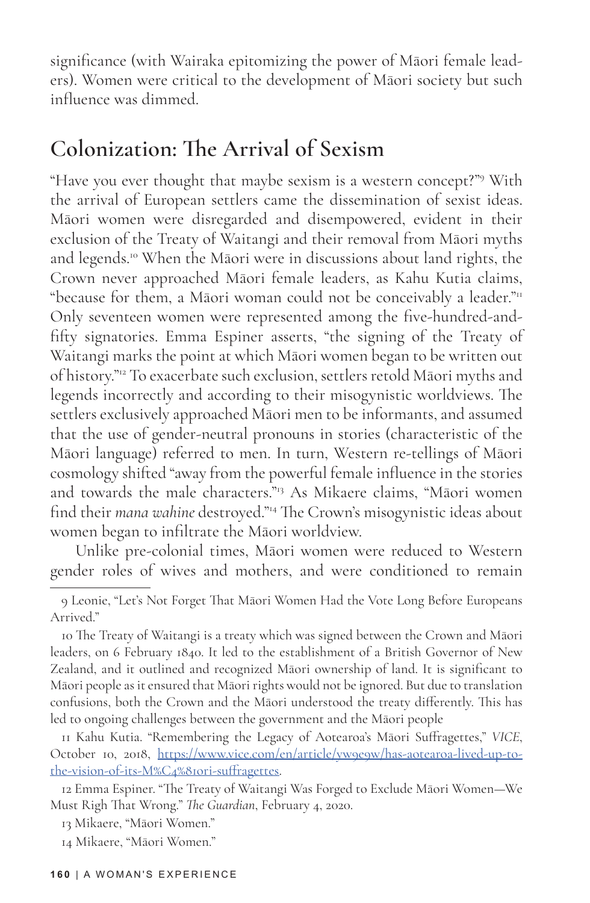significance (with Wairaka epitomizing the power of Māori female leaders). Women were critical to the development of Māori society but such influence was dimmed.

#### **Colonization: The Arrival of Sexism**

"Have you ever thought that maybe sexism is a western concept?"9 With the arrival of European settlers came the dissemination of sexist ideas. Māori women were disregarded and disempowered, evident in their exclusion of the Treaty of Waitangi and their removal from Māori myths and legends.10 When the Māori were in discussions about land rights, the Crown never approached Māori female leaders, as Kahu Kutia claims, "because for them, a Māori woman could not be conceivably a leader."<sup>11</sup> Only seventeen women were represented among the five-hundred-andfifty signatories. Emma Espiner asserts, "the signing of the Treaty of Waitangi marks the point at which Māori women began to be written out of history."12 To exacerbate such exclusion, settlers retold Māori myths and legends incorrectly and according to their misogynistic worldviews. The settlers exclusively approached Māori men to be informants, and assumed that the use of gender-neutral pronouns in stories (characteristic of the Māori language) referred to men. In turn, Western re-tellings of Māori cosmology shifted "away from the powerful female influence in the stories and towards the male characters."<sup>13</sup> As Mikaere claims, "Māori women find their *mana wahine* destroyed."14 The Crown's misogynistic ideas about women began to infiltrate the Māori worldview.

Unlike pre-colonial times, Māori women were reduced to Western gender roles of wives and mothers, and were conditioned to remain

11 Kahu Kutia. "Remembering the Legacy of Aotearoa's Māori Suffragettes," *VICE*, October 10, 2018, https://www.vice.com/en/article/yw9e9w/has-aotearoa-lived-up-tothe-vision-of-its-M%C4%81ori-suffragettes.

<sup>9</sup> Leonie, "Let's Not Forget That Māori Women Had the Vote Long Before Europeans Arrived."

<sup>10</sup> The Treaty of Waitangi is a treaty which was signed between the Crown and Māori leaders, on 6 February 1840. It led to the establishment of a British Governor of New Zealand, and it outlined and recognized Māori ownership of land. It is significant to Māori people as it ensured that Māori rights would not be ignored. But due to translation confusions, both the Crown and the Māori understood the treaty differently. This has led to ongoing challenges between the government and the Māori people

<sup>12</sup> Emma Espiner. "The Treaty of Waitangi Was Forged to Exclude Māori Women—We Must Righ That Wrong." *The Guardian*, February 4, 2020.

<sup>13</sup> Mikaere, "Māori Women."

<sup>14</sup> Mikaere, "Māori Women."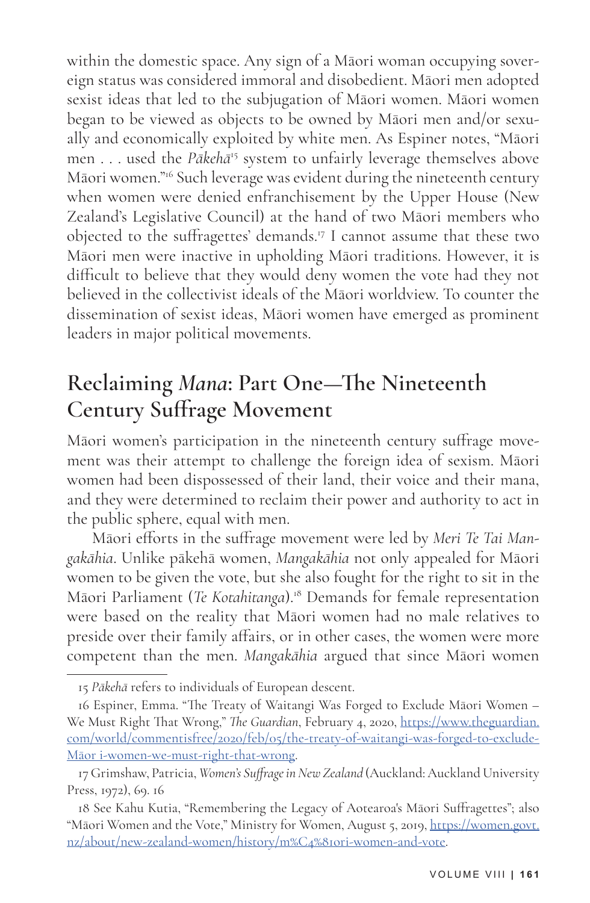within the domestic space. Any sign of a Māori woman occupying sovereign status was considered immoral and disobedient. Māori men adopted sexist ideas that led to the subjugation of Māori women. Māori women began to be viewed as objects to be owned by Māori men and/or sexually and economically exploited by white men. As Espiner notes, "Māori men . . . used the *Pākehā*15 system to unfairly leverage themselves above Māori women."16 Such leverage was evident during the nineteenth century when women were denied enfranchisement by the Upper House (New Zealand's Legislative Council) at the hand of two Māori members who objected to the suffragettes' demands.17 I cannot assume that these two Māori men were inactive in upholding Māori traditions. However, it is difficult to believe that they would deny women the vote had they not believed in the collectivist ideals of the Māori worldview. To counter the dissemination of sexist ideas, Māori women have emerged as prominent leaders in major political movements.

### **Reclaiming** *Mana***: Part One—The Nineteenth Century Suffrage Movement**

Māori women's participation in the nineteenth century suffrage movement was their attempt to challenge the foreign idea of sexism. Māori women had been dispossessed of their land, their voice and their mana, and they were determined to reclaim their power and authority to act in the public sphere, equal with men.

Māori efforts in the suffrage movement were led by *Meri Te Tai Mangakāhia*. Unlike pākehā women, *Mangakāhia* not only appealed for Māori women to be given the vote, but she also fought for the right to sit in the Māori Parliament (*Te Kotahitanga*).18 Demands for female representation were based on the reality that Māori women had no male relatives to preside over their family affairs, or in other cases, the women were more competent than the men. *Mangakāhia* argued that since Māori women

<sup>15</sup> *Pākehā* refers to individuals of European descent.

<sup>16</sup> Espiner, Emma. "The Treaty of Waitangi Was Forged to Exclude Māori Women – We Must Right That Wrong," *The Guardian*, February 4, 2020, https://www.theguardian. com/world/commentisfree/2020/feb/05/the-treaty-of-waitangi-was-forged-to-exclude-Māor i-women-we-must-right-that-wrong.

<sup>17</sup> Grimshaw, Patricia, *Women's Suffrage in New Zealand* (Auckland: Auckland University Press, 1972), 69. 16

<sup>18</sup> See Kahu Kutia, "Remembering the Legacy of Aotearoa's Māori Suffragettes"; also "Māori Women and the Vote," Ministry for Women, August 5, 2019, https://women.govt. nz/about/new-zealand-women/history/m%C4%81ori-women-and-vote.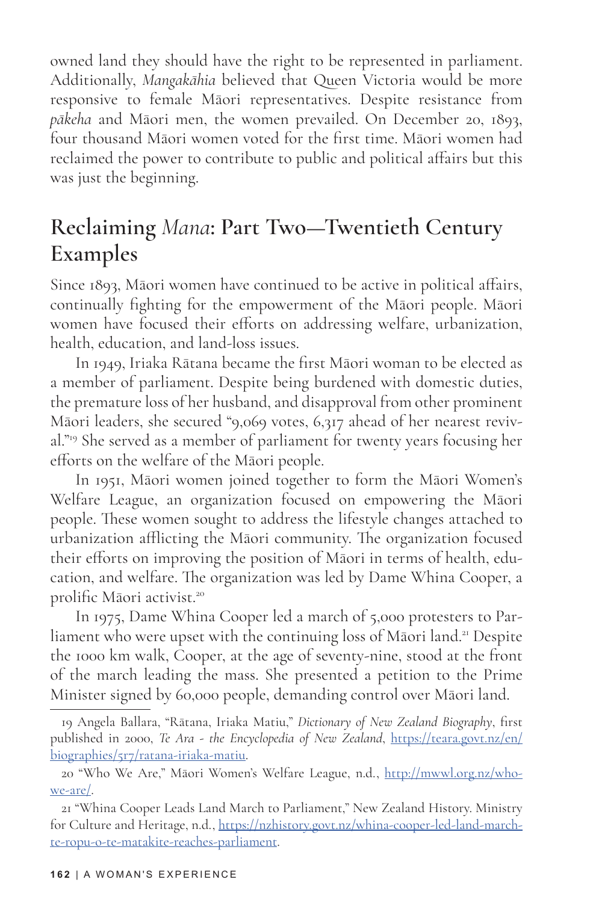owned land they should have the right to be represented in parliament. Additionally, *Mangakāhia* believed that Queen Victoria would be more responsive to female Māori representatives. Despite resistance from *pākeha* and Māori men, the women prevailed. On December 20, 1893, four thousand Māori women voted for the first time. Māori women had reclaimed the power to contribute to public and political affairs but this was just the beginning.

#### **Reclaiming** *Mana***: Part Two—Twentieth Century Examples**

Since 1893, Māori women have continued to be active in political affairs, continually fighting for the empowerment of the Māori people. Māori women have focused their efforts on addressing welfare, urbanization, health, education, and land-loss issues.

In 1949, Iriaka Rātana became the first Māori woman to be elected as a member of parliament. Despite being burdened with domestic duties, the premature loss of her husband, and disapproval from other prominent Māori leaders, she secured "9,069 votes, 6,317 ahead of her nearest revival."19 She served as a member of parliament for twenty years focusing her efforts on the welfare of the Māori people.

In 1951, Māori women joined together to form the Māori Women's Welfare League, an organization focused on empowering the Māori people. These women sought to address the lifestyle changes attached to urbanization afflicting the Māori community. The organization focused their efforts on improving the position of Māori in terms of health, education, and welfare. The organization was led by Dame Whina Cooper, a prolific Māori activist.<sup>20</sup>

In 1975, Dame Whina Cooper led a march of 5,000 protesters to Parliament who were upset with the continuing loss of Māori land.<sup>21</sup> Despite the 1000 km walk, Cooper, at the age of seventy-nine, stood at the front of the march leading the mass. She presented a petition to the Prime Minister signed by 60,000 people, demanding control over Māori land.

<sup>19</sup> Angela Ballara, "Rātana, Iriaka Matiu," *Dictionary of New Zealand Biography*, first published in 2000, *Te Ara - the Encyclopedia of New Zealand*, https://teara.govt.nz/en/ biographies/5r7/ratana-iriaka-matiu.

<sup>20 &</sup>quot;Who We Are," Māori Women's Welfare League, n.d., http://mwwl.org.nz/whowe-are/.

<sup>21 &</sup>quot;Whina Cooper Leads Land March to Parliament," New Zealand History. Ministry for Culture and Heritage, n.d., https://nzhistory.govt.nz/whina-cooper-led-land-marchte-ropu-o-te-matakite-reaches-parliament.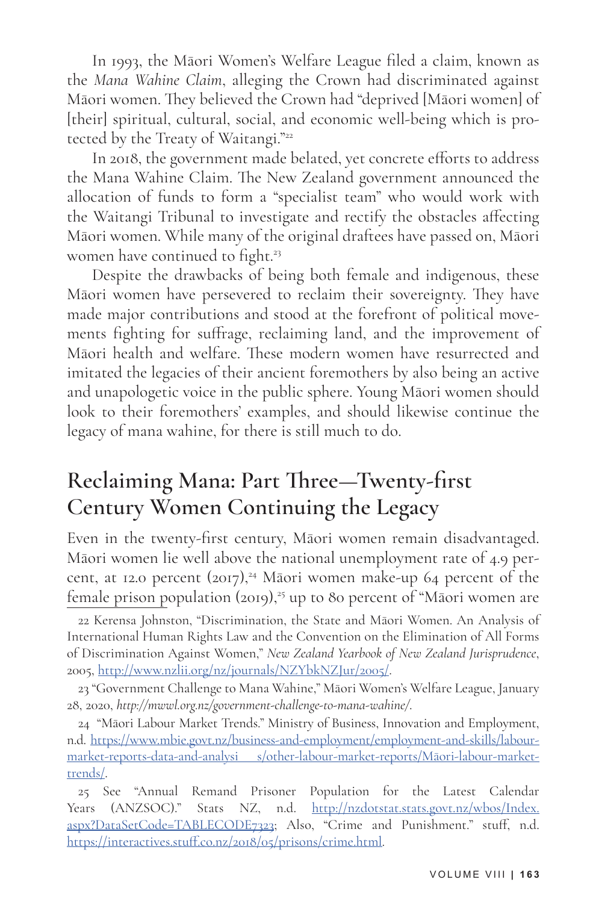In 1993, the Māori Women's Welfare League filed a claim, known as the *Mana Wahine Claim*, alleging the Crown had discriminated against Māori women. They believed the Crown had "deprived [Māori women] of [their] spiritual, cultural, social, and economic well-being which is protected by the Treaty of Waitangi."<sup>22</sup>

In 2018, the government made belated, yet concrete efforts to address the Mana Wahine Claim. The New Zealand government announced the allocation of funds to form a "specialist team" who would work with the Waitangi Tribunal to investigate and rectify the obstacles affecting Māori women. While many of the original draftees have passed on, Māori women have continued to fight.<sup>23</sup>

Despite the drawbacks of being both female and indigenous, these Māori women have persevered to reclaim their sovereignty. They have made major contributions and stood at the forefront of political movements fighting for suffrage, reclaiming land, and the improvement of Māori health and welfare. These modern women have resurrected and imitated the legacies of their ancient foremothers by also being an active and unapologetic voice in the public sphere. Young Māori women should look to their foremothers' examples, and should likewise continue the legacy of mana wahine, for there is still much to do.

#### **Reclaiming Mana: Part Three—Twenty-first Century Women Continuing the Legacy**

Even in the twenty-first century, Māori women remain disadvantaged. Māori women lie well above the national unemployment rate of 4.9 percent, at 12.0 percent  $(2017),^{24}$  Māori women make-up 64 percent of the female prison population (2019),<sup>25</sup> up to 80 percent of "Māori women are

22 Kerensa Johnston, "Discrimination, the State and Māori Women. An Analysis of International Human Rights Law and the Convention on the Elimination of All Forms of Discrimination Against Women," *New Zealand Yearbook of New Zealand Jurisprudence*, 2005, http://www.nzlii.org/nz/journals/NZYbkNZJur/2005/.

23 "Government Challenge to Mana Wahine," Māori Women's Welfare League, January 28, 2020, *http://mwwl.org.nz/government-challenge-to-mana-wahine/*.

24 "Māori Labour Market Trends." Ministry of Business, Innovation and Employment, n.d. https://www.mbie.govt.nz/business-and-employment/employment-and-skills/labourmarket-reports-data-and-analysi s/other-labour-market-reports/Māori-labour-markettrends/.

25 See "Annual Remand Prisoner Population for the Latest Calendar Years (ANZSOC)." Stats NZ, n.d. http://nzdotstat.stats.govt.nz/wbos/Index. aspx?DataSetCode=TABLECODE7323; Also, "Crime and Punishment." stuff, n.d. https://interactives.stuff.co.nz/2018/05/prisons/crime.html.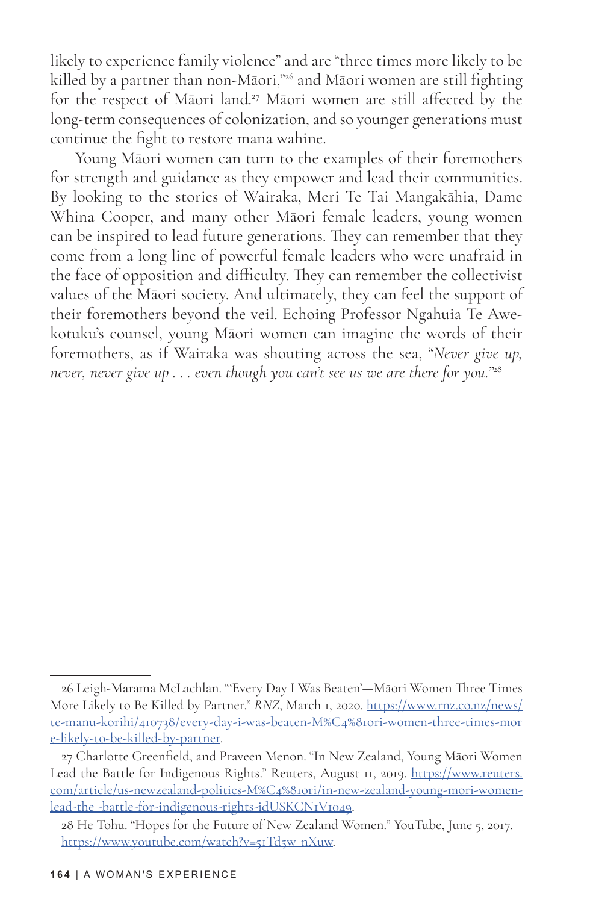likely to experience family violence" and are "three times more likely to be killed by a partner than non-Māori,"<sup>26</sup> and Māori women are still fighting for the respect of Māori land.<sup>27</sup> Māori women are still affected by the long-term consequences of colonization, and so younger generations must continue the fight to restore mana wahine.

Young Māori women can turn to the examples of their foremothers for strength and guidance as they empower and lead their communities. By looking to the stories of Wairaka, Meri Te Tai Mangakāhia, Dame Whina Cooper, and many other Māori female leaders, young women can be inspired to lead future generations. They can remember that they come from a long line of powerful female leaders who were unafraid in the face of opposition and difficulty. They can remember the collectivist values of the Māori society. And ultimately, they can feel the support of their foremothers beyond the veil. Echoing Professor Ngahuia Te Awekotuku's counsel, young Māori women can imagine the words of their foremothers, as if Wairaka was shouting across the sea, "*Never give up, never, never give up . . . even though you can't see us we are there for you."*<sup>28</sup>

<sup>26</sup> Leigh-Marama McLachlan. "'Every Day I Was Beaten'—Māori Women Three Times More Likely to Be Killed by Partner." *RNZ*, March 1, 2020. https://www.rnz.co.nz/news/ te-manu-korihi/410738/every-day-i-was-beaten-M%C4%81ori-women-three-times-mor e-likely-to-be-killed-by-partner.

<sup>27</sup> Charlotte Greenfield, and Praveen Menon. "In New Zealand, Young Māori Women Lead the Battle for Indigenous Rights." Reuters, August 11, 2019. https://www.reuters. com/article/us-newzealand-politics-M%C4%81ori/in-new-zealand-young-mori-womenlead-the -battle-for-indigenous-rights-idUSKCN1V1049.

<sup>28</sup> He Tohu. "Hopes for the Future of New Zealand Women." YouTube, June 5, 2017. https://www.youtube.com/watch?v=51Td5w\_nXuw.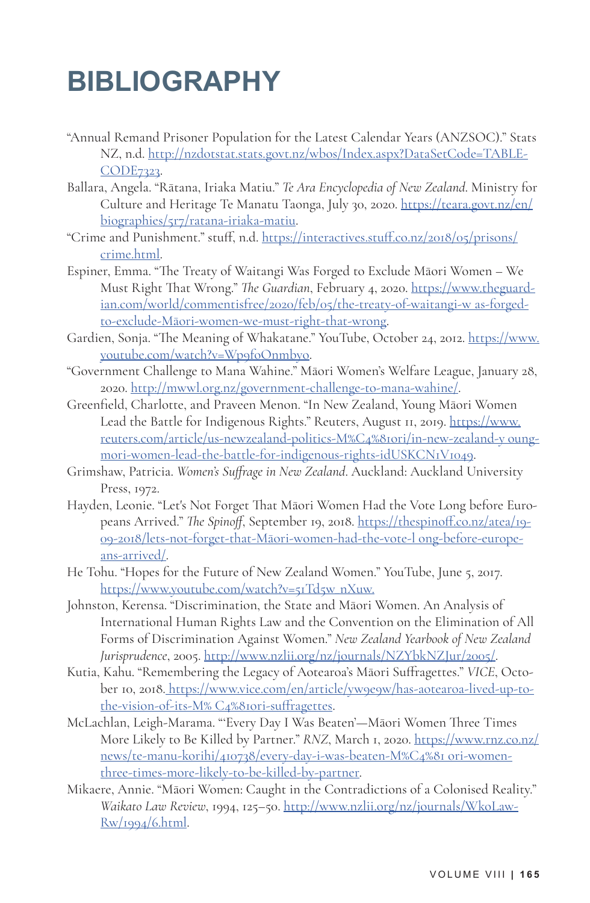## **BIBLIOGRAPHY**

- "Annual Remand Prisoner Population for the Latest Calendar Years (ANZSOC)." Stats NZ, n.d. http://nzdotstat.stats.govt.nz/wbos/Index.aspx?DataSetCode=TABLE-CODE7323.
- Ballara, Angela. "Rātana, Iriaka Matiu." *Te Ara Encyclopedia of New Zealand*. Ministry for Culture and Heritage Te Manatu Taonga, July 30, 2020. https://teara.govt.nz/en/ biographies/5r7/ratana-iriaka-matiu.
- "Crime and Punishment." stuff, n.d. https://interactives.stuff.co.nz/2018/05/prisons/ crime.html.
- Espiner, Emma. "The Treaty of Waitangi Was Forged to Exclude Māori Women We Must Right That Wrong." *The Guardian*, February 4, 2020. https://www.theguardian.com/world/commentisfree/2020/feb/05/the-treaty-of-waitangi-w as-forgedto-exclude-Māori-women-we-must-right-that-wrong.
- Gardien, Sonja. "The Meaning of Whakatane." YouTube, October 24, 2012. https://www. youtube.com/watch?v=Wp9foOnmbyo.
- "Government Challenge to Mana Wahine." Māori Women's Welfare League, January 28, 2020. http://mwwl.org.nz/government-challenge-to-mana-wahine/.
- Greenfield, Charlotte, and Praveen Menon. "In New Zealand, Young Māori Women Lead the Battle for Indigenous Rights." Reuters, August 11, 2019. https://www. reuters.com/article/us-newzealand-politics-M%C4%81ori/in-new-zealand-y oungmori-women-lead-the-battle-for-indigenous-rights-idUSKCN1V1049.
- Grimshaw, Patricia. *Women's Suffrage in New Zealand*. Auckland: Auckland University Press, 1972.
- Hayden, Leonie. "Let's Not Forget That Māori Women Had the Vote Long before Europeans Arrived." *The Spinoff*, September 19, 2018. https://thespinoff.co.nz/atea/19- 09-2018/lets-not-forget-that-Māori-women-had-the-vote-l ong-before-europeans-arrived/.
- He Tohu. "Hopes for the Future of New Zealand Women." YouTube, June 5, 2017. https://www.youtube.com/watch?v=51Td5w\_nXuw.
- Johnston, Kerensa. "Discrimination, the State and Māori Women. An Analysis of International Human Rights Law and the Convention on the Elimination of All Forms of Discrimination Against Women." *New Zealand Yearbook of New Zealand Jurisprudence*, 2005. http://www.nzlii.org/nz/journals/NZYbkNZJur/2005/.
- Kutia, Kahu. "Remembering the Legacy of Aotearoa's Māori Suffragettes." *VICE*, October 10, 2018. https://www.vice.com/en/article/yw9e9w/has-aotearoa-lived-up-tothe-vision-of-its-M% C4%81ori-suffragettes.
- McLachlan, Leigh-Marama. "'Every Day I Was Beaten'—Māori Women Three Times More Likely to Be Killed by Partner." *RNZ*, March 1, 2020. https://www.rnz.co.nz/ news/te-manu-korihi/410738/every-day-i-was-beaten-M%C4%81 ori-womenthree-times-more-likely-to-be-killed-by-partner.
- Mikaere, Annie. "Māori Women: Caught in the Contradictions of a Colonised Reality." *Waikato Law Review*, 1994, 125–50. http://www.nzlii.org/nz/journals/WkoLaw-Rw/1994/6.html.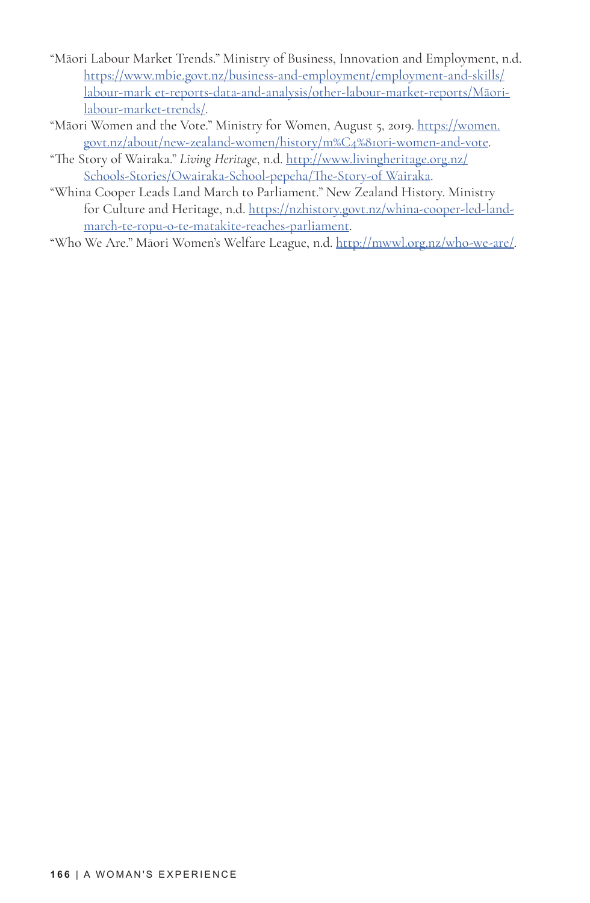- "Māori Labour Market Trends." Ministry of Business, Innovation and Employment, n.d. https://www.mbie.govt.nz/business-and-employment/employment-and-skills/ labour-mark et-reports-data-and-analysis/other-labour-market-reports/Māorilabour-market-trends/.
- "Māori Women and the Vote." Ministry for Women, August 5, 2019. https://women. govt.nz/about/new-zealand-women/history/m%C4%81ori-women-and-vote.
- "The Story of Wairaka." *Living Heritage*, n.d. http://www.livingheritage.org.nz/ Schools-Stories/Owairaka-School-pepeha/The-Story-of Wairaka.
- "Whina Cooper Leads Land March to Parliament." New Zealand History. Ministry for Culture and Heritage, n.d. https://nzhistory.govt.nz/whina-cooper-led-landmarch-te-ropu-o-te-matakite-reaches-parliament.
- "Who We Are." Māori Women's Welfare League, n.d. http://mwwl.org.nz/who-we-are/.